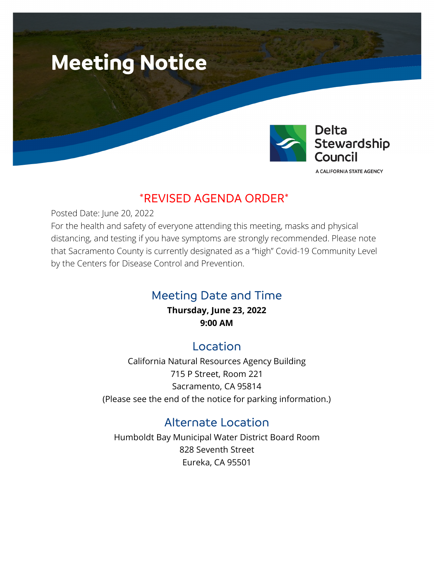



A CALIFORNIA STATE AGENCY

Page 1

# \*REVISED AGENDA ORDER\*

Posted Date: June 20, 2022

For the health and safety of everyone attending this meeting, masks and physical distancing, and testing if you have symptoms are strongly recommended. Please note that Sacramento County is currently designated as a "high" Covid-19 Community Level by the Centers for Disease Control and Prevention.

# Meeting Date and Time

**Thursday, June 23, 2022 9:00 AM**

## Location

California Natural Resources Agency Building 715 P Street, Room 221 Sacramento, CA 95814 (Please see the end of the notice for parking information.)

# Alternate Location

Humboldt Bay Municipal Water District Board Room 828 Seventh Street Eureka, CA 95501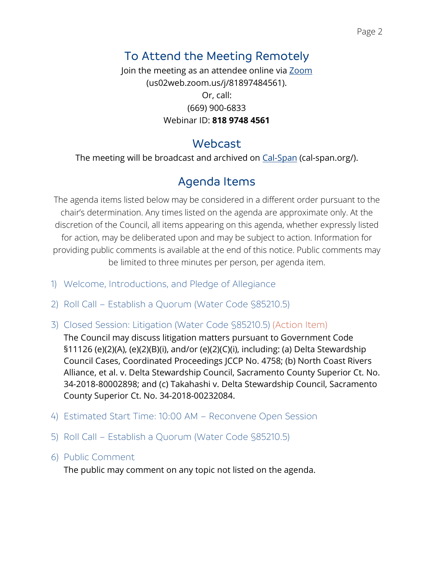# To Attend the Meeting Remotely

Join the meeting as an attendee online via [Zoom](https://us02web.zoom.us/j/81897484561) (us02web.zoom.us/j/81897484561). Or, call: (669) 900-6833 Webinar ID: **818 9748 4561**

# Webcast

The meeting will be broadcast and archived on [Cal-Span](https://deltacouncil.sharepoint.com/sites/DSC-CouncilMeetingStaffReports2/Shared%20Documents/General/Council%20Meeting%20Materials/2022/5-26/6.%20Legal/cal-span.org/) (cal-span.org/).

# Agenda Items

The agenda items listed below may be considered in a different order pursuant to the chair's determination. Any times listed on the agenda are approximate only. At the discretion of the Council, all items appearing on this agenda, whether expressly listed for action, may be deliberated upon and may be subject to action. Information for providing public comments is available at the end of this notice. Public comments may be limited to three minutes per person, per agenda item.

- 1) Welcome, Introductions, and Pledge of Allegiance
- 2) Roll Call Establish a Quorum (Water Code §85210.5)
- 3) Closed Session: Litigation (Water Code §85210.5) (Action Item)

The Council may discuss litigation matters pursuant to Government Code §11126 (e)(2)(A), (e)(2)(B)(i), and/or (e)(2)(C)(i), including: (a) Delta Stewardship Council Cases, Coordinated Proceedings JCCP No. 4758; (b) North Coast Rivers Alliance, et al. v. Delta Stewardship Council, Sacramento County Superior Ct. No. 34-2018-80002898; and (c) Takahashi v. Delta Stewardship Council, Sacramento County Superior Ct. No. 34-2018-00232084.

- 4) Estimated Start Time: 10:00 AM Reconvene Open Session
- 5) Roll Call Establish a Quorum (Water Code §85210.5)
- 6) Public Comment

The public may comment on any topic not listed on the agenda.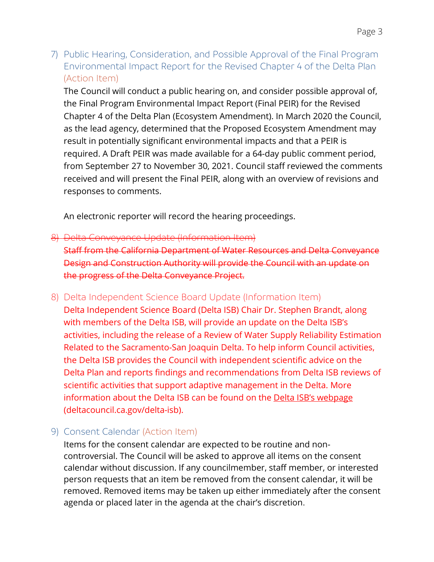7) Public Hearing, Consideration, and Possible Approval of the Final Program Environmental Impact Report for the Revised Chapter 4 of the Delta Plan (Action Item)

The Council will conduct a public hearing on, and consider possible approval of, the Final Program Environmental Impact Report (Final PEIR) for the Revised Chapter 4 of the Delta Plan (Ecosystem Amendment). In March 2020 the Council, as the lead agency, determined that the Proposed Ecosystem Amendment may result in potentially significant environmental impacts and that a PEIR is required. A Draft PEIR was made available for a 64-day public comment period, from September 27 to November 30, 2021. Council staff reviewed the comments received and will present the Final PEIR, along with an overview of revisions and responses to comments.

An electronic reporter will record the hearing proceedings.

## 8) Delta Conveyance Update (Information Item)

Staff from the California Department of Water Resources and Delta Conveyance Design and Construction Authority will provide the Council with an update on the progress of the Delta Conveyance Project.

#### 8) Delta Independent Science Board Update (Information Item)

Delta Independent Science Board (Delta ISB) Chair Dr. Stephen Brandt, along with members of the Delta ISB, will provide an update on the Delta ISB's activities, including the release of a Review of Water Supply Reliability Estimation Related to the Sacramento-San Joaquin Delta. To help inform Council activities, the Delta ISB provides the Council with independent scientific advice on the Delta Plan and reports findings and recommendations from Delta ISB reviews of scientific activities that support adaptive management in the Delta. More information about the Delta ISB can be found on the [Delta ISB's webpage](http://deltacouncil.ca.gov/delta-isb/) (deltacouncil.ca.gov/delta-isb).

## 9) Consent Calendar (Action Item)

Items for the consent calendar are expected to be routine and noncontroversial. The Council will be asked to approve all items on the consent calendar without discussion. If any councilmember, staff member, or interested person requests that an item be removed from the consent calendar, it will be removed. Removed items may be taken up either immediately after the consent agenda or placed later in the agenda at the chair's discretion.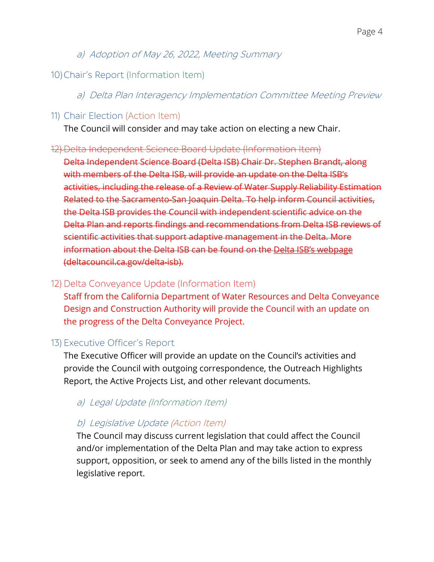a) Adoption of May 26, 2022, Meeting Summary

## 10)Chair's Report (Information Item)

a) Delta Plan Interagency Implementation Committee Meeting Preview

11) Chair Election (Action Item)

The Council will consider and may take action on electing a new Chair.

#### 12) Delta Independent Science Board Update (Information Item)

Delta Independent Science Board (Delta ISB) Chair Dr. Stephen Brandt, along with members of the Delta ISB, will provide an update on the Delta ISB's activities, including the release of a Review of Water Supply Reliability Estimation Related to the Sacramento-San Joaquin Delta. To help inform Council activities, the Delta ISB provides the Council with independent scientific advice on the Delta Plan and reports findings and recommendations from Delta ISB reviews of scientific activities that support adaptive management in the Delta. More information about the Delta ISB can be found on the [Delta ISB's webpage](http://deltacouncil.ca.gov/delta-isb/) (deltacouncil.ca.gov/delta-isb).

## 12) Delta Conveyance Update (Information Item)

Staff from the California Department of Water Resources and Delta Conveyance Design and Construction Authority will provide the Council with an update on the progress of the Delta Conveyance Project.

## 13) Executive Officer's Report

The Executive Officer will provide an update on the Council's activities and provide the Council with outgoing correspondence, the Outreach Highlights Report, the Active Projects List, and other relevant documents.

## a) Legal Update (Information Item)

## b) Legislative Update (Action Item)

The Council may discuss current legislation that could affect the Council and/or implementation of the Delta Plan and may take action to express support, opposition, or seek to amend any of the bills listed in the monthly legislative report.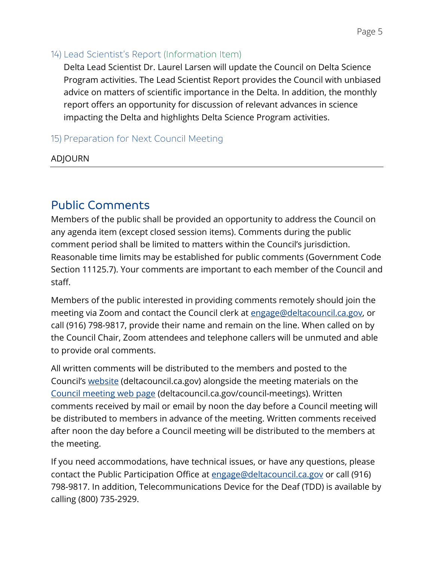#### 14) Lead Scientist's Report (Information Item)

Delta Lead Scientist Dr. Laurel Larsen will update the Council on Delta Science Program activities. The Lead Scientist Report provides the Council with unbiased advice on matters of scientific importance in the Delta. In addition, the monthly report offers an opportunity for discussion of relevant advances in science impacting the Delta and highlights Delta Science Program activities.

## 15) Preparation for Next Council Meeting

#### ADJOURN

# Public Comments

Members of the public shall be provided an opportunity to address the Council on any agenda item (except closed session items). Comments during the public comment period shall be limited to matters within the Council's jurisdiction. Reasonable time limits may be established for public comments (Government Code Section 11125.7). Your comments are important to each member of the Council and staff.

Members of the public interested in providing comments remotely should join the meeting via Zoom and contact the Council clerk at [engage@deltacouncil.ca.gov,](mailto:engage@deltacouncil.ca.gov) or call (916) 798-9817, provide their name and remain on the line. When called on by the Council Chair, Zoom attendees and telephone callers will be unmuted and able to provide oral comments.

All written comments will be distributed to the members and posted to the Council's [website](https://deltacouncil.sharepoint.com/sites/DSC-CouncilMeetingStaffReports2/Shared%20Documents/General/Council%20Meeting%20Materials/2022/5-26/3.%20AD/deltacouncil.ca.gov) (deltacouncil.ca.gov) alongside the meeting materials on the [Council meeting](https://deltacouncil.ca.gov/council-meetings) web page (deltacouncil.ca.gov/council-meetings). Written comments received by mail or email by noon the day before a Council meeting will be distributed to members in advance of the meeting. Written comments received after noon the day before a Council meeting will be distributed to the members at the meeting.

If you need accommodations, have technical issues, or have any questions, please contact the Public Participation Office at [engage@deltacouncil.ca.gov](mailto:engage@deltacouncil.ca.gov) or call (916) 798-9817. In addition, Telecommunications Device for the Deaf (TDD) is available by calling (800) 735-2929.